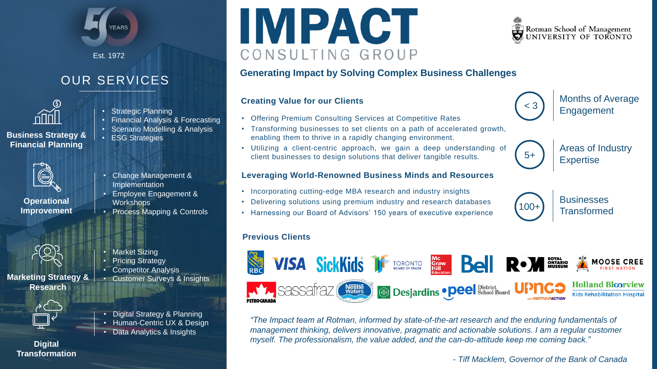

Est. 1972

## OUR SERVICES



**Business Strategy & Financial Planning**

- Strategic Planning
- Financial Analysis & Forecasting
- Scenario Modelling & Analysis
- ESG Strategies



**Operational Improvement**



**Marketing Strategy & Research**



• Digital Strategy & Planning • Human-Centric UX & Design • Data Analytics & Insights

#### **Digital Transformation**

- Change Management & Implementation
- Employee Engagement & **Workshops**
- Process Mapping & Controls



- **Market Sizing**
- **Pricing Strategy**
- Competitor Analysis
	- Customer Surveys & Insights





#### **Generating Impact by Solving Complex Business Challenges**

# **Creating Value for our Clients**<br> **Creating Value for our Clients**<br> **Company Company Company Company Company Company Company Company Company Company Company Company Company Company Company Company Company Company Company C**

- Offering Premium Consulting Services at Competitive Rates
- Transforming businesses to set clients on a path of accelerated growth, enabling them to thrive in a rapidly changing environment.
- Utilizing a client-centric approach, we gain a deep understanding of client businesses to design solutions that deliver tangible results.

#### **Leveraging World-Renowned Business Minds and Resources**

- Incorporating cutting-edge MBA research and industry insights
- Delivering solutions using premium industry and research databases
- Harnessing our Board of Advisors' 150 years of executive experience

#### **Previous Clients**



*"The Impact team at Rotman, informed by state-of-the-art research and the enduring fundamentals of management thinking, delivers innovative, pragmatic and actionable solutions. I am a regular customer myself. The professionalism, the value added, and the can-do-attitude keep me coming back."* 

*- Tiff Macklem, Governor of the Bank of Canada*



Months of Average



Areas of Industry

**Businesses**  $\begin{array}{|c|c|c|c|}\n\hline\n100+ & \text{Transformed}\n\end{array}$